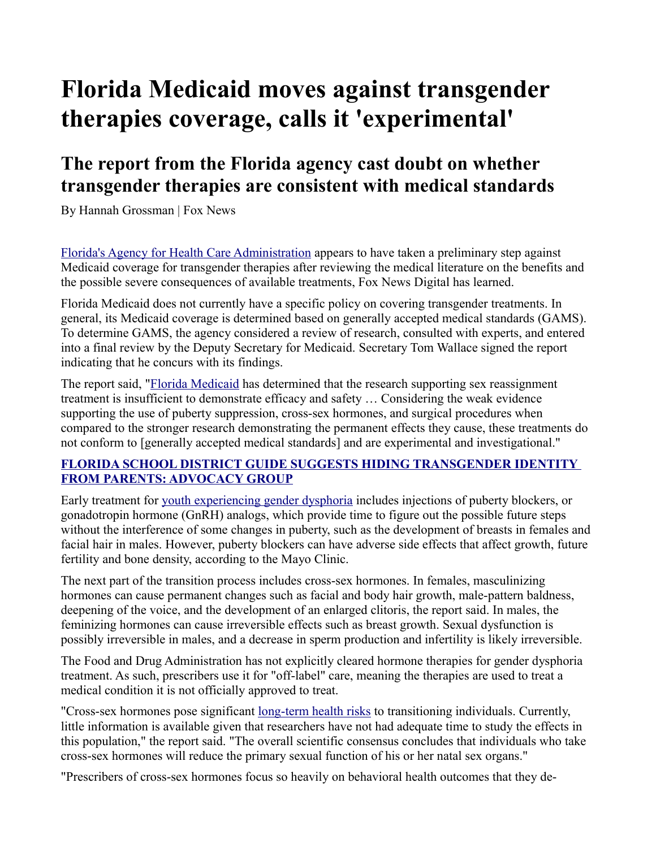## **Florida Medicaid moves against transgender therapies coverage, calls it 'experimental'**

## **The report from the Florida agency cast doubt on whether transgender therapies are consistent with medical standards**

By Hannah Grossman | Fox News

[Florida's Agency for Health Care Administration](https://www.foxnews.com/category/us/us-regions/southeast/florida) appears to have taken a preliminary step against Medicaid coverage for transgender therapies after reviewing the medical literature on the benefits and the possible severe consequences of available treatments, Fox News Digital has learned.

Florida Medicaid does not currently have a specific policy on covering transgender treatments. In general, its Medicaid coverage is determined based on generally accepted medical standards (GAMS). To determine GAMS, the agency considered a review of research, consulted with experts, and entered into a final review by the Deputy Secretary for Medicaid. Secretary Tom Wallace signed the report indicating that he concurs with its findings.

The report said, ["Florida Medicaid](https://www.foxnews.com/category/politics/executive/health-care) has determined that the research supporting sex reassignment treatment is insufficient to demonstrate efficacy and safety … Considering the weak evidence supporting the use of puberty suppression, cross-sex hormones, and surgical procedures when compared to the stronger research demonstrating the permanent effects they cause, these treatments do not conform to [generally accepted medical standards] and are experimental and investigational."

## **[FLORIDA SCHOOL DISTRICT GUIDE SUGGESTS HIDING TRANSGENDER IDENTITY](https://www.foxnews.com/media/florida-school-district-suggests-hiding-transgender-identity-parents)  [FROM PARENTS: ADVOCACY GROUP](https://www.foxnews.com/media/florida-school-district-suggests-hiding-transgender-identity-parents)**

Early treatment for [youth experiencing gender dysphoria](https://www.foxnews.com/politics/florida-biden-hhs-treatments-gender-dysphoria-guidance) includes injections of puberty blockers, or gonadotropin hormone (GnRH) analogs, which provide time to figure out the possible future steps without the interference of some changes in puberty, such as the development of breasts in females and facial hair in males. However, puberty blockers can have adverse side effects that affect growth, future fertility and bone density, according to the Mayo Clinic.

The next part of the transition process includes cross-sex hormones. In females, masculinizing hormones can cause permanent changes such as facial and body hair growth, male-pattern baldness, deepening of the voice, and the development of an enlarged clitoris, the report said. In males, the feminizing hormones can cause irreversible effects such as breast growth. Sexual dysfunction is possibly irreversible in males, and a decrease in sperm production and infertility is likely irreversible.

The Food and Drug Administration has not explicitly cleared hormone therapies for gender dysphoria treatment. As such, prescribers use it for "off-label" care, meaning the therapies are used to treat a medical condition it is not officially approved to treat.

"Cross-sex hormones pose significant [long-term health risks](https://www.foxnews.com/health) to transitioning individuals. Currently, little information is available given that researchers have not had adequate time to study the effects in this population," the report said. "The overall scientific consensus concludes that individuals who take cross-sex hormones will reduce the primary sexual function of his or her natal sex organs."

"Prescribers of cross-sex hormones focus so heavily on behavioral health outcomes that they de-